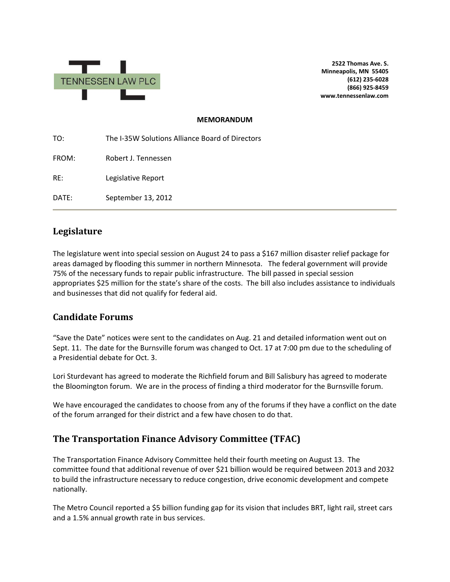

**2522 Thomas Ave. S. Minneapolis, MN 55405 (612) 235-6028 (866) 925-8459 www.tennessenlaw.com**

## **MEMORANDUM**

TO: The I-35W Solutions Alliance Board of Directors FROM: Robert J. Tennessen RE: Legislative Report DATE: September 13, 2012

## **Legislature**

The legislature went into special session on August 24 to pass a \$167 million disaster relief package for areas damaged by flooding this summer in northern Minnesota. The federal government will provide 75% of the necessary funds to repair public infrastructure. The bill passed in special session appropriates \$25 million for the state's share of the costs. The bill also includes assistance to individuals and businesses that did not qualify for federal aid.

## **Candidate Forums**

"Save the Date" notices were sent to the candidates on Aug. 21 and detailed information went out on Sept. 11. The date for the Burnsville forum was changed to Oct. 17 at 7:00 pm due to the scheduling of a Presidential debate for Oct. 3.

Lori Sturdevant has agreed to moderate the Richfield forum and Bill Salisbury has agreed to moderate the Bloomington forum. We are in the process of finding a third moderator for the Burnsville forum.

We have encouraged the candidates to choose from any of the forums if they have a conflict on the date of the forum arranged for their district and a few have chosen to do that.

## **The Transportation Finance Advisory Committee (TFAC)**

The Transportation Finance Advisory Committee held their fourth meeting on August 13. The committee found that additional revenue of over \$21 billion would be required between 2013 and 2032 to build the infrastructure necessary to reduce congestion, drive economic development and compete nationally.

The Metro Council reported a \$5 billion funding gap for its vision that includes BRT, light rail, street cars and a 1.5% annual growth rate in bus services.